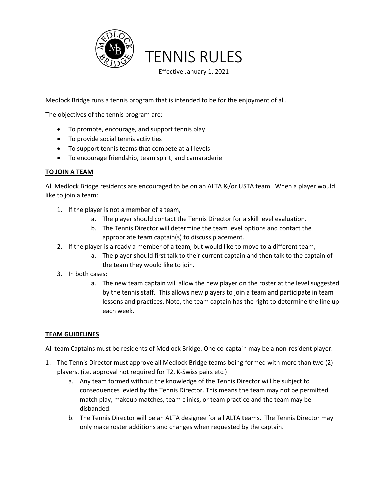

Medlock Bridge runs a tennis program that is intended to be for the enjoyment of all.

The objectives of the tennis program are:

- To promote, encourage, and support tennis play
- To provide social tennis activities
- To support tennis teams that compete at all levels
- To encourage friendship, team spirit, and camaraderie

# **TO JOIN A TEAM**

All Medlock Bridge residents are encouraged to be on an ALTA &/or USTA team. When a player would like to join a team:

- 1. If the player is not a member of a team,
	- a. The player should contact the Tennis Director for a skill level evaluation.
	- b. The Tennis Director will determine the team level options and contact the appropriate team captain(s) to discuss placement.
- 2. If the player is already a member of a team, but would like to move to a different team,
	- a. The player should first talk to their current captain and then talk to the captain of the team they would like to join.
- 3. In both cases;
	- a. The new team captain will allow the new player on the roster at the level suggested by the tennis staff. This allows new players to join a team and participate in team lessons and practices. Note, the team captain has the right to determine the line up each week.

# **TEAM GUIDELINES**

All team Captains must be residents of Medlock Bridge. One co-captain may be a non-resident player.

- 1. The Tennis Director must approve all Medlock Bridge teams being formed with more than two (2) players. (i.e. approval not required for T2, K-Swiss pairs etc.)
	- a. Any team formed without the knowledge of the Tennis Director will be subject to consequences levied by the Tennis Director. This means the team may not be permitted match play, makeup matches, team clinics, or team practice and the team may be disbanded.
	- b. The Tennis Director will be an ALTA designee for all ALTA teams. The Tennis Director may only make roster additions and changes when requested by the captain.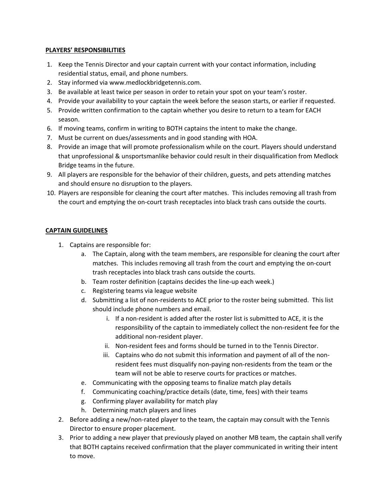#### **PLAYERS' RESPONSIBILITIES**

- 1. Keep the Tennis Director and your captain current with your contact information, including residential status, email, and phone numbers.
- 2. Stay informed via www.medlockbridgetennis.com.
- 3. Be available at least twice per season in order to retain your spot on your team's roster.
- 4. Provide your availability to your captain the week before the season starts, or earlier if requested.
- 5. Provide written confirmation to the captain whether you desire to return to a team for EACH season.
- 6. If moving teams, confirm in writing to BOTH captains the intent to make the change.
- 7. Must be current on dues/assessments and in good standing with HOA.
- 8. Provide an image that will promote professionalism while on the court. Players should understand that unprofessional & unsportsmanlike behavior could result in their disqualification from Medlock Bridge teams in the future.
- 9. All players are responsible for the behavior of their children, guests, and pets attending matches and should ensure no disruption to the players.
- 10. Players are responsible for cleaning the court after matches. This includes removing all trash from the court and emptying the on-court trash receptacles into black trash cans outside the courts.

# **CAPTAIN GUIDELINES**

- 1. Captains are responsible for:
	- a. The Captain, along with the team members, are responsible for cleaning the court after matches. This includes removing all trash from the court and emptying the on-court trash receptacles into black trash cans outside the courts.
	- b. Team roster definition (captains decides the line-up each week.)
	- c. Registering teams via league website
	- d. Submitting a list of non-residents to ACE prior to the roster being submitted. This list should include phone numbers and email.
		- i. If a non-resident is added after the roster list is submitted to ACE, it is the responsibility of the captain to immediately collect the non-resident fee for the additional non-resident player.
		- ii. Non-resident fees and forms should be turned in to the Tennis Director.
		- iii. Captains who do not submit this information and payment of all of the nonresident fees must disqualify non-paying non-residents from the team or the team will not be able to reserve courts for practices or matches.
	- e. Communicating with the opposing teams to finalize match play details
	- f. Communicating coaching/practice details (date, time, fees) with their teams
	- g. Confirming player availability for match play
	- h. Determining match players and lines
- 2. Before adding a new/non-rated player to the team, the captain may consult with the Tennis Director to ensure proper placement.
- 3. Prior to adding a new player that previously played on another MB team, the captain shall verify that BOTH captains received confirmation that the player communicated in writing their intent to move.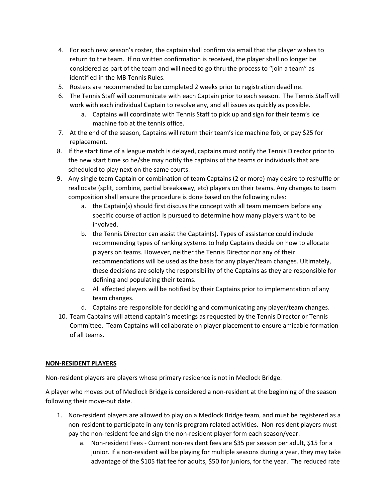- 4. For each new season's roster, the captain shall confirm via email that the player wishes to return to the team. If no written confirmation is received, the player shall no longer be considered as part of the team and will need to go thru the process to "join a team" as identified in the MB Tennis Rules.
- 5. Rosters are recommended to be completed 2 weeks prior to registration deadline.
- 6. The Tennis Staff will communicate with each Captain prior to each season. The Tennis Staff will work with each individual Captain to resolve any, and all issues as quickly as possible.
	- a. Captains will coordinate with Tennis Staff to pick up and sign for their team's ice machine fob at the tennis office.
- 7. At the end of the season, Captains will return their team's ice machine fob, or pay \$25 for replacement.
- 8. If the start time of a league match is delayed, captains must notify the Tennis Director prior to the new start time so he/she may notify the captains of the teams or individuals that are scheduled to play next on the same courts.
- 9. Any single team Captain or combination of team Captains (2 or more) may desire to reshuffle or reallocate (split, combine, partial breakaway, etc) players on their teams. Any changes to team composition shall ensure the procedure is done based on the following rules:
	- a. the Captain(s) should first discuss the concept with all team members before any specific course of action is pursued to determine how many players want to be involved.
	- b. the Tennis Director can assist the Captain(s). Types of assistance could include recommending types of ranking systems to help Captains decide on how to allocate players on teams. However, neither the Tennis Director nor any of their recommendations will be used as the basis for any player/team changes. Ultimately, these decisions are solely the responsibility of the Captains as they are responsible for defining and populating their teams.
	- c. All affected players will be notified by their Captains prior to implementation of any team changes.
	- d. Captains are responsible for deciding and communicating any player/team changes.
- 10. Team Captains will attend captain's meetings as requested by the Tennis Director or Tennis Committee. Team Captains will collaborate on player placement to ensure amicable formation of all teams.

#### **NON-RESIDENT PLAYERS**

Non-resident players are players whose primary residence is not in Medlock Bridge.

A player who moves out of Medlock Bridge is considered a non-resident at the beginning of the season following their move-out date.

- 1. Non-resident players are allowed to play on a Medlock Bridge team, and must be registered as a non-resident to participate in any tennis program related activities. Non-resident players must pay the non-resident fee and sign the non-resident player form each season/year.
	- a. Non-resident Fees Current non-resident fees are \$35 per season per adult, \$15 for a junior. If a non-resident will be playing for multiple seasons during a year, they may take advantage of the \$105 flat fee for adults, \$50 for juniors, for the year. The reduced rate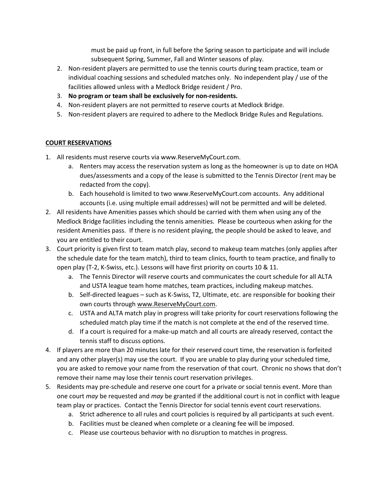must be paid up front, in full before the Spring season to participate and will include subsequent Spring, Summer, Fall and Winter seasons of play.

- 2. Non-resident players are permitted to use the tennis courts during team practice, team or individual coaching sessions and scheduled matches only. No independent play / use of the facilities allowed unless with a Medlock Bridge resident / Pro.
- 3. **No program or team shall be exclusively for non-residents.**
- 4. Non-resident players are not permitted to reserve courts at Medlock Bridge.
- 5. Non-resident players are required to adhere to the Medlock Bridge Rules and Regulations.

### **COURT RESERVATIONS**

- 1. All residents must reserve courts via www.ReserveMyCourt.com.
	- a. Renters may access the reservation system as long as the homeowner is up to date on HOA dues/assessments and a copy of the lease is submitted to the Tennis Director (rent may be redacted from the copy).
	- b. Each household is limited to two www.ReserveMyCourt.com accounts. Any additional accounts (i.e. using multiple email addresses) will not be permitted and will be deleted.
- 2. All residents have Amenities passes which should be carried with them when using any of the Medlock Bridge facilities including the tennis amenities. Please be courteous when asking for the resident Amenities pass. If there is no resident playing, the people should be asked to leave, and you are entitled to their court.
- 3. Court priority is given first to team match play, second to makeup team matches (only applies after the schedule date for the team match), third to team clinics, fourth to team practice, and finally to open play (T-2, K-Swiss, etc.). Lessons will have first priority on courts 10 & 11.
	- a. The Tennis Director will reserve courts and communicates the court schedule for all ALTA and USTA league team home matches, team practices, including makeup matches.
	- b. Self-directed leagues such as K-Swiss, T2, Ultimate, etc. are responsible for booking their own courts through www.ReserveMyCourt.com.
	- c. USTA and ALTA match play in progress will take priority for court reservations following the scheduled match play time if the match is not complete at the end of the reserved time.
	- d. If a court is required for a make-up match and all courts are already reserved, contact the tennis staff to discuss options.
- 4. If players are more than 20 minutes late for their reserved court time, the reservation is forfeited and any other player(s) may use the court. If you are unable to play during your scheduled time, you are asked to remove your name from the reservation of that court. Chronic no shows that don't remove their name may lose their tennis court reservation privileges.
- 5. Residents may pre-schedule and reserve one court for a private or social tennis event. More than one court *may* be requested and *may* be granted if the additional court is not in conflict with league team play or practices. Contact the Tennis Director for social tennis event court reservations.
	- a. Strict adherence to all rules and court policies is required by all participants at such event.
	- b. Facilities must be cleaned when complete or a cleaning fee will be imposed.
	- c. Please use courteous behavior with no disruption to matches in progress.